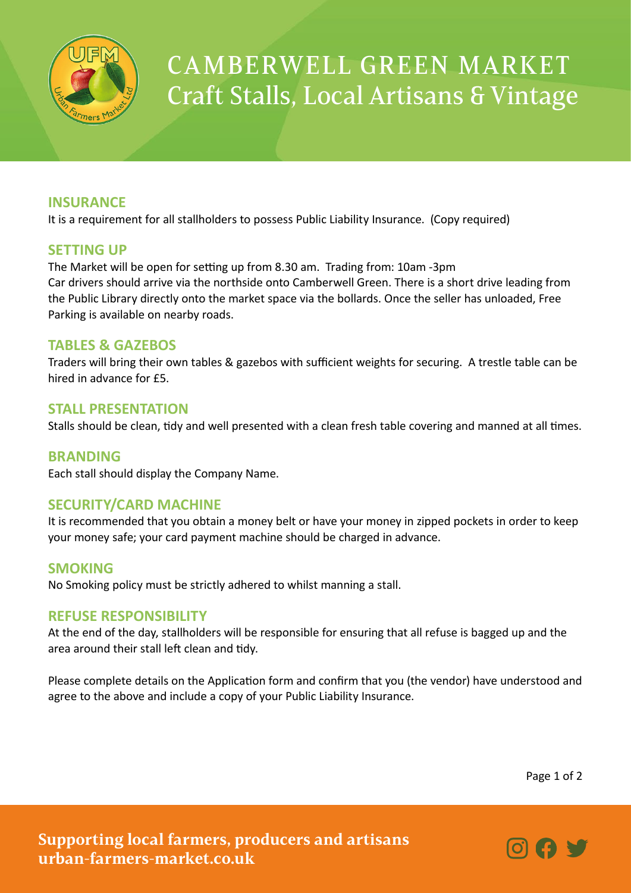

# CAMBERWELL GREEN MARKET Craft Stalls, Local Artisans & Vintage

## **INSURANCE**

It is a requirement for all stallholders to possess Public Liability Insurance. (Copy required)

### **SETTING UP**

The Market will be open for setting up from 8.30 am. Trading from: 10am -3pm Car drivers should arrive via the northside onto Camberwell Green. There is a short drive leading from the Public Library directly onto the market space via the bollards. Once the seller has unloaded, Free Parking is available on nearby roads.

### **TABLES & GAZEBOS**

Traders will bring their own tables & gazebos with sufficient weights for securing. A trestle table can be hired in advance for £5.

#### **STALL PRESENTATION**

Stalls should be clean, tidy and well presented with a clean fresh table covering and manned at all times.

#### **BRANDING**

Each stall should display the Company Name.

#### **SECURITY/CARD MACHINE**

It is recommended that you obtain a money belt or have your money in zipped pockets in order to keep your money safe; your card payment machine should be charged in advance.

#### **SMOKING**

No Smoking policy must be strictly adhered to whilst manning a stall.

#### **REFUSE RESPONSIBILITY**

At the end of the day, stallholders will be responsible for ensuring that all refuse is bagged up and the area around their stall left clean and tidy.

Please complete details on the Application form and confirm that you (the vendor) have understood and agree to the above and include a copy of your Public Liability Insurance.

Page 1 of 2